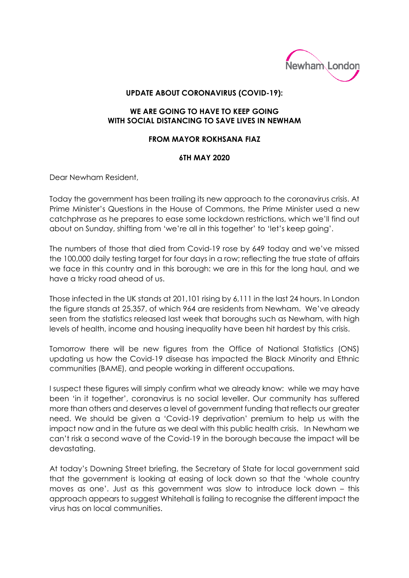

## **UPDATE ABOUT CORONAVIRUS (COVID-19):**

## **WE ARE GOING TO HAVE TO KEEP GOING WITH SOCIAL DISTANCING TO SAVE LIVES IN NEWHAM**

## **FROM MAYOR ROKHSANA FIAZ**

## **6TH MAY 2020**

Dear Newham Resident,

Today the government has been trailing its new approach to the coronavirus crisis. At Prime Minister's Questions in the House of Commons, the Prime Minister used a new catchphrase as he prepares to ease some lockdown restrictions, which we'll find out about on Sunday, shifting from 'we're all in this together' to 'let's keep going'.

The numbers of those that died from Covid-19 rose by 649 today and we've missed the 100,000 daily testing target for four days in a row; reflecting the true state of affairs we face in this country and in this borough: we are in this for the long haul, and we have a tricky road ahead of us.

Those infected in the UK stands at 201,101 rising by 6,111 in the last 24 hours. In London the figure stands at 25,357, of which 964 are residents from Newham. We've already seen from the statistics released last week that boroughs such as Newham, with high levels of health, income and housing inequality have been hit hardest by this crisis.

Tomorrow there will be new figures from the Office of National Statistics (ONS) updating us how the Covid-19 disease has impacted the Black Minority and Ethnic communities (BAME), and people working in different occupations.

I suspect these figures will simply confirm what we already know: while we may have been 'in it together', coronavirus is no social leveller. Our community has suffered more than others and deserves a level of government funding that reflects our greater need. We should be given a 'Covid-19 deprivation' premium to help us with the impact now and in the future as we deal with this public health crisis. In Newham we can't risk a second wave of the Covid-19 in the borough because the impact will be devastating.

At today's Downing Street briefing, the Secretary of State for local government said that the government is looking at easing of lock down so that the 'whole country moves as one'. Just as this government was slow to introduce lock down – this approach appears to suggest Whitehall is failing to recognise the different impact the virus has on local communities.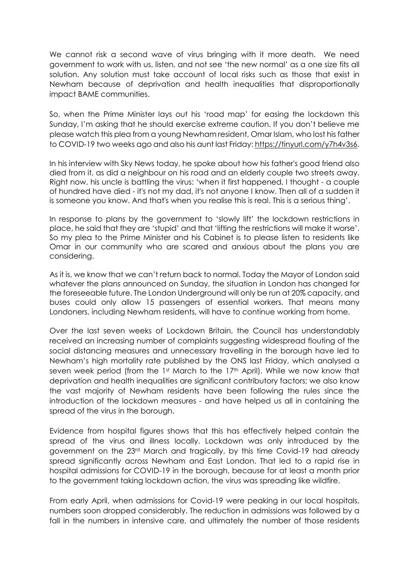We cannot risk a second wave of virus bringing with it more death. We need government to work with us, listen, and not see 'the new normal' as a one size fits all solution. Any solution must take account of local risks such as those that exist in Newham because of deprivation and health inequalities that disproportionally impact BAME communities.

So, when the Prime Minister lays out his 'road map' for easing the lockdown this Sunday, I'm asking that he should exercise extreme caution. If you don't believe me please watch this plea from a young Newham resident, Omar Islam, who lost his father to COVID-19 two weeks ago and also his aunt last Friday: [https://tinyurl.com/y7h4v3s6.](https://tinyurl.com/y7h4v3s6)

In his interview with Sky News today, he spoke about how his father's good friend also died from it, as did a neighbour on his road and an elderly couple two streets away. Right now, his uncle is battling the virus: 'when it first happened, I thought - a couple of hundred have died - it's not my dad, it's not anyone I know. Then all of a sudden it is someone you know. And that's when you realise this is real. This is a serious thing'.

In response to plans by the government to 'slowly lift' the lockdown restrictions in place, he said that they are 'stupid' and that 'lifting the restrictions will make it worse'. So my plea to the Prime Minister and his Cabinet is to please listen to residents like Omar in our community who are scared and anxious about the plans you are considering.

As it is, we know that we can't return back to normal. Today the Mayor of London said whatever the plans announced on Sunday, the situation in London has changed for the foreseeable future. The London Underground will only be run at 20% capacity, and buses could only allow 15 passengers of essential workers. That means many Londoners, including Newham residents, will have to continue working from home.

Over the last seven weeks of Lockdown Britain, the Council has understandably received an increasing number of complaints suggesting widespread flouting of the social distancing measures and unnecessary travelling in the borough have led to Newham's high mortality rate published by the ONS last Friday, which analysed a seven week period (from the 1st March to the 17<sup>th</sup> April). While we now know that deprivation and health inequalities are significant contributory factors; we also know the vast majority of Newham residents have been following the rules since the introduction of the lockdown measures - and have helped us all in containing the spread of the virus in the borough.

Evidence from hospital figures shows that this has effectively helped contain the spread of the virus and illness locally. Lockdown was only introduced by the government on the 23rd March and tragically, by this time Covid-19 had already spread significantly across Newham and East London. That led to a rapid rise in hospital admissions for COVID-19 in the borough, because for at least a month prior to the government taking lockdown action, the virus was spreading like wildfire.

From early April, when admissions for Covid-19 were peaking in our local hospitals, numbers soon dropped considerably. The reduction in admissions was followed by a fall in the numbers in intensive care, and ultimately the number of those residents